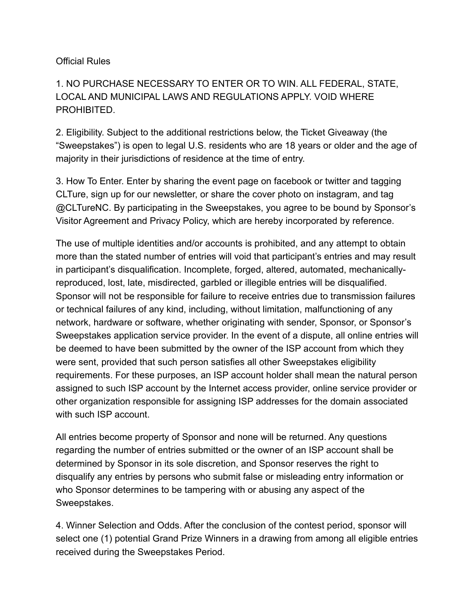## Official Rules

## 1. NO PURCHASE NECESSARY TO ENTER OR TO WIN. ALL FEDERAL, STATE, LOCAL AND MUNICIPAL LAWS AND REGULATIONS APPLY. VOID WHERE PROHIBITED.

2. Eligibility. Subject to the additional restrictions below, the Ticket Giveaway (the "Sweepstakes") is open to legal U.S. residents who are 18 years or older and the age of majority in their jurisdictions of residence at the time of entry.

3. How To Enter. Enter by sharing the event page on facebook or twitter and tagging CLTure, sign up for our newsletter, or share the cover photo on instagram, and tag @CLTureNC. By participating in the Sweepstakes, you agree to be bound by Sponsor's Visitor Agreement and Privacy Policy, which are hereby incorporated by reference.

The use of multiple identities and/or accounts is prohibited, and any attempt to obtain more than the stated number of entries will void that participant's entries and may result in participant's disqualification. Incomplete, forged, altered, automated, mechanicallyreproduced, lost, late, misdirected, garbled or illegible entries will be disqualified. Sponsor will not be responsible for failure to receive entries due to transmission failures or technical failures of any kind, including, without limitation, malfunctioning of any network, hardware or software, whether originating with sender, Sponsor, or Sponsor's Sweepstakes application service provider. In the event of a dispute, all online entries will be deemed to have been submitted by the owner of the ISP account from which they were sent, provided that such person satisfies all other Sweepstakes eligibility requirements. For these purposes, an ISP account holder shall mean the natural person assigned to such ISP account by the Internet access provider, online service provider or other organization responsible for assigning ISP addresses for the domain associated with such ISP account.

All entries become property of Sponsor and none will be returned. Any questions regarding the number of entries submitted or the owner of an ISP account shall be determined by Sponsor in its sole discretion, and Sponsor reserves the right to disqualify any entries by persons who submit false or misleading entry information or who Sponsor determines to be tampering with or abusing any aspect of the Sweepstakes.

4. Winner Selection and Odds. After the conclusion of the contest period, sponsor will select one (1) potential Grand Prize Winners in a drawing from among all eligible entries received during the Sweepstakes Period.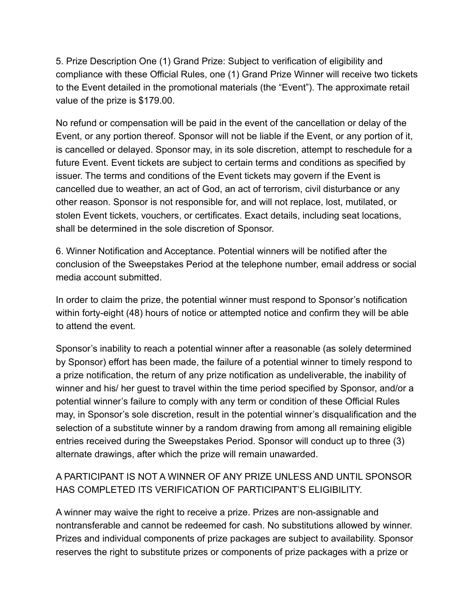5. Prize Description One (1) Grand Prize: Subject to verification of eligibility and compliance with these Official Rules, one (1) Grand Prize Winner will receive two tickets to the Event detailed in the promotional materials (the "Event"). The approximate retail value of the prize is \$179.00.

No refund or compensation will be paid in the event of the cancellation or delay of the Event, or any portion thereof. Sponsor will not be liable if the Event, or any portion of it, is cancelled or delayed. Sponsor may, in its sole discretion, attempt to reschedule for a future Event. Event tickets are subject to certain terms and conditions as specified by issuer. The terms and conditions of the Event tickets may govern if the Event is cancelled due to weather, an act of God, an act of terrorism, civil disturbance or any other reason. Sponsor is not responsible for, and will not replace, lost, mutilated, or stolen Event tickets, vouchers, or certificates. Exact details, including seat locations, shall be determined in the sole discretion of Sponsor.

6. Winner Notification and Acceptance. Potential winners will be notified after the conclusion of the Sweepstakes Period at the telephone number, email address or social media account submitted.

In order to claim the prize, the potential winner must respond to Sponsor's notification within forty-eight (48) hours of notice or attempted notice and confirm they will be able to attend the event.

Sponsor's inability to reach a potential winner after a reasonable (as solely determined by Sponsor) effort has been made, the failure of a potential winner to timely respond to a prize notification, the return of any prize notification as undeliverable, the inability of winner and his/ her guest to travel within the time period specified by Sponsor, and/or a potential winner's failure to comply with any term or condition of these Official Rules may, in Sponsor's sole discretion, result in the potential winner's disqualification and the selection of a substitute winner by a random drawing from among all remaining eligible entries received during the Sweepstakes Period. Sponsor will conduct up to three (3) alternate drawings, after which the prize will remain unawarded.

## A PARTICIPANT IS NOT A WINNER OF ANY PRIZE UNLESS AND UNTIL SPONSOR HAS COMPLETED ITS VERIFICATION OF PARTICIPANT'S ELIGIBILITY.

A winner may waive the right to receive a prize. Prizes are non-assignable and nontransferable and cannot be redeemed for cash. No substitutions allowed by winner. Prizes and individual components of prize packages are subject to availability. Sponsor reserves the right to substitute prizes or components of prize packages with a prize or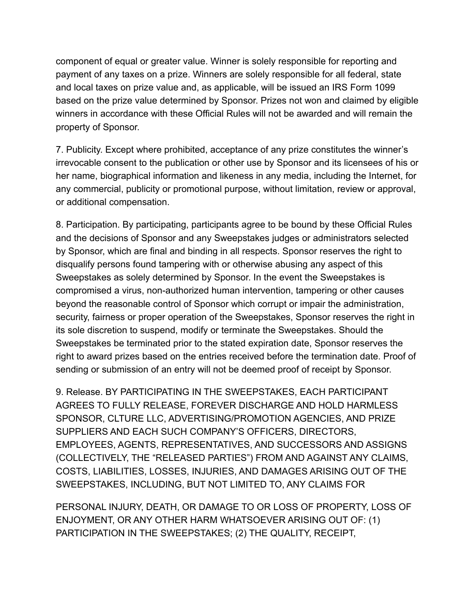component of equal or greater value. Winner is solely responsible for reporting and payment of any taxes on a prize. Winners are solely responsible for all federal, state and local taxes on prize value and, as applicable, will be issued an IRS Form 1099 based on the prize value determined by Sponsor. Prizes not won and claimed by eligible winners in accordance with these Official Rules will not be awarded and will remain the property of Sponsor.

7. Publicity. Except where prohibited, acceptance of any prize constitutes the winner's irrevocable consent to the publication or other use by Sponsor and its licensees of his or her name, biographical information and likeness in any media, including the Internet, for any commercial, publicity or promotional purpose, without limitation, review or approval, or additional compensation.

8. Participation. By participating, participants agree to be bound by these Official Rules and the decisions of Sponsor and any Sweepstakes judges or administrators selected by Sponsor, which are final and binding in all respects. Sponsor reserves the right to disqualify persons found tampering with or otherwise abusing any aspect of this Sweepstakes as solely determined by Sponsor. In the event the Sweepstakes is compromised a virus, non-authorized human intervention, tampering or other causes beyond the reasonable control of Sponsor which corrupt or impair the administration, security, fairness or proper operation of the Sweepstakes, Sponsor reserves the right in its sole discretion to suspend, modify or terminate the Sweepstakes. Should the Sweepstakes be terminated prior to the stated expiration date, Sponsor reserves the right to award prizes based on the entries received before the termination date. Proof of sending or submission of an entry will not be deemed proof of receipt by Sponsor.

9. Release. BY PARTICIPATING IN THE SWEEPSTAKES, EACH PARTICIPANT AGREES TO FULLY RELEASE, FOREVER DISCHARGE AND HOLD HARMLESS SPONSOR, CLTURE LLC, ADVERTISING/PROMOTION AGENCIES, AND PRIZE SUPPLIERS AND EACH SUCH COMPANY'S OFFICERS, DIRECTORS, EMPLOYEES, AGENTS, REPRESENTATIVES, AND SUCCESSORS AND ASSIGNS (COLLECTIVELY, THE "RELEASED PARTIES") FROM AND AGAINST ANY CLAIMS, COSTS, LIABILITIES, LOSSES, INJURIES, AND DAMAGES ARISING OUT OF THE SWEEPSTAKES, INCLUDING, BUT NOT LIMITED TO, ANY CLAIMS FOR

PERSONAL INJURY, DEATH, OR DAMAGE TO OR LOSS OF PROPERTY, LOSS OF ENJOYMENT, OR ANY OTHER HARM WHATSOEVER ARISING OUT OF: (1) PARTICIPATION IN THE SWEEPSTAKES; (2) THE QUALITY, RECEIPT,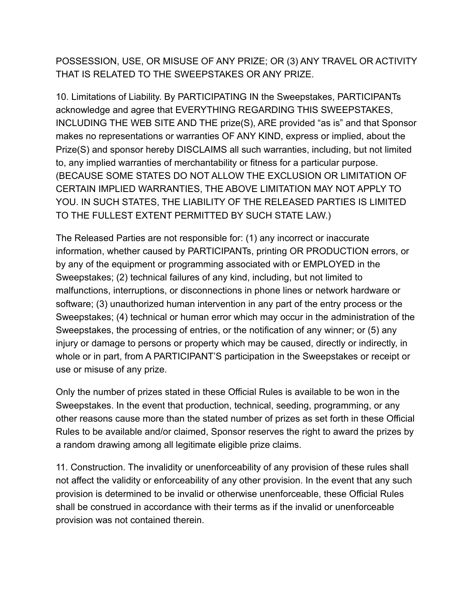POSSESSION, USE, OR MISUSE OF ANY PRIZE; OR (3) ANY TRAVEL OR ACTIVITY THAT IS RELATED TO THE SWEEPSTAKES OR ANY PRIZE.

10. Limitations of Liability. By PARTICIPATING IN the Sweepstakes, PARTICIPANTs acknowledge and agree that EVERYTHING REGARDING THIS SWEEPSTAKES, INCLUDING THE WEB SITE AND THE prize(S), ARE provided "as is" and that Sponsor makes no representations or warranties OF ANY KIND, express or implied, about the Prize(S) and sponsor hereby DISCLAIMS all such warranties, including, but not limited to, any implied warranties of merchantability or fitness for a particular purpose. (BECAUSE SOME STATES DO NOT ALLOW THE EXCLUSION OR LIMITATION OF CERTAIN IMPLIED WARRANTIES, THE ABOVE LIMITATION MAY NOT APPLY TO YOU. IN SUCH STATES, THE LIABILITY OF THE RELEASED PARTIES IS LIMITED TO THE FULLEST EXTENT PERMITTED BY SUCH STATE LAW.)

The Released Parties are not responsible for: (1) any incorrect or inaccurate information, whether caused by PARTICIPANTs, printing OR PRODUCTION errors, or by any of the equipment or programming associated with or EMPLOYED in the Sweepstakes; (2) technical failures of any kind, including, but not limited to malfunctions, interruptions, or disconnections in phone lines or network hardware or software; (3) unauthorized human intervention in any part of the entry process or the Sweepstakes; (4) technical or human error which may occur in the administration of the Sweepstakes, the processing of entries, or the notification of any winner; or (5) any injury or damage to persons or property which may be caused, directly or indirectly, in whole or in part, from A PARTICIPANT'S participation in the Sweepstakes or receipt or use or misuse of any prize.

Only the number of prizes stated in these Official Rules is available to be won in the Sweepstakes. In the event that production, technical, seeding, programming, or any other reasons cause more than the stated number of prizes as set forth in these Official Rules to be available and/or claimed, Sponsor reserves the right to award the prizes by a random drawing among all legitimate eligible prize claims.

11. Construction. The invalidity or unenforceability of any provision of these rules shall not affect the validity or enforceability of any other provision. In the event that any such provision is determined to be invalid or otherwise unenforceable, these Official Rules shall be construed in accordance with their terms as if the invalid or unenforceable provision was not contained therein.